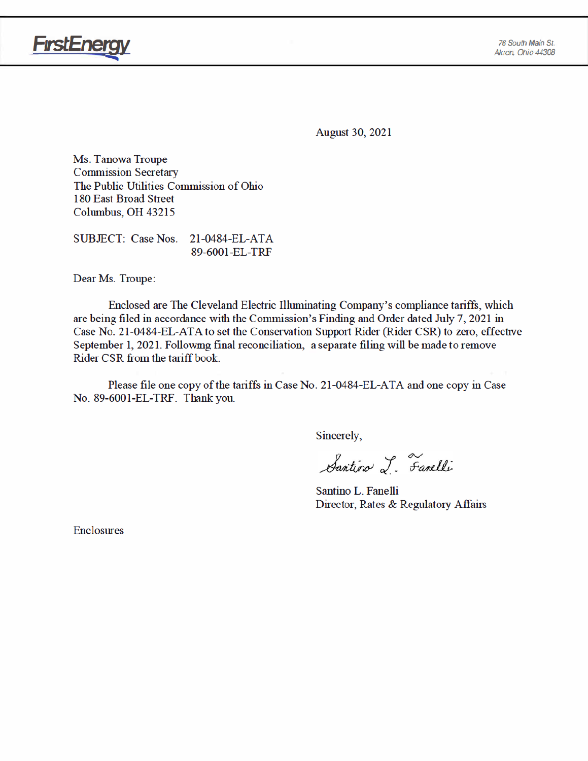

**August 30, 2021** 

Ms. Tanowa Troupe **Commission Secretary** The Public Utilities Commission of Ohio 180 East Broad Street Columbus, OH 43215

SUBJECT: Case Nos. 21-0484-EL-ATA 89-6001-EL-TRF

Dear Ms. Troupe:

Enclosed are The Cleveland Electric Illuminating Company's compliance tariffs, which are being filed in accordance with the Commission's Finding and Order dated July 7, 2021 in Case No. 21-0484-EL-ATA to set the Conservation Support Rider (Rider CSR) to zero, effective September 1, 2021. Following final reconciliation, a separate filing will be made to remove Rider CSR from the tariff book.

Please file one copy of the tariffs in Case No. 21-0484-EL-ATA and one copy in Case No. 89-6001-EL-TRF. Thank you.

Sincerely,

Santino L. Fanelli

Santino L. Fanelli Director, Rates & Regulatory Affairs

**Enclosures**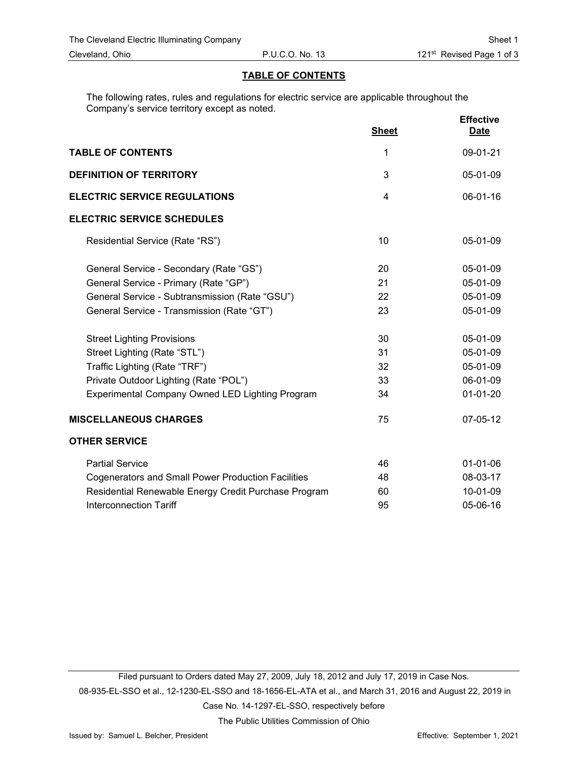### **TABLE OF CONTENTS**

The following rates, rules and regulations for electric service are applicable throughout the Company's service territory except as noted.

|                                                           | <b>Sheet</b> | <b>Effective</b><br><b>Date</b> |
|-----------------------------------------------------------|--------------|---------------------------------|
| <b>TABLE OF CONTENTS</b>                                  | 1            | 09-01-21                        |
| <b>DEFINITION OF TERRITORY</b>                            | 3            | 05-01-09                        |
| <b>ELECTRIC SERVICE REGULATIONS</b>                       | 4            | 06-01-16                        |
| <b>ELECTRIC SERVICE SCHEDULES</b>                         |              |                                 |
| Residential Service (Rate "RS")                           | 10           | 05-01-09                        |
| General Service - Secondary (Rate "GS")                   | 20           | 05-01-09                        |
| General Service - Primary (Rate "GP")                     | 21           | 05-01-09                        |
| General Service - Subtransmission (Rate "GSU")            | 22           | 05-01-09                        |
| General Service - Transmission (Rate "GT")                | 23           | 05-01-09                        |
| <b>Street Lighting Provisions</b>                         | 30           | 05-01-09                        |
| Street Lighting (Rate "STL")                              | 31           | 05-01-09                        |
| Traffic Lighting (Rate "TRF")                             | 32           | 05-01-09                        |
| Private Outdoor Lighting (Rate "POL")                     | 33           | 06-01-09                        |
| Experimental Company Owned LED Lighting Program           | 34           | $01-01-20$                      |
| <b>MISCELLANEOUS CHARGES</b>                              | 75           | 07-05-12                        |
| <b>OTHER SERVICE</b>                                      |              |                                 |
| <b>Partial Service</b>                                    | 46           | $01-01-06$                      |
| <b>Cogenerators and Small Power Production Facilities</b> | 48           | 08-03-17                        |
| Residential Renewable Energy Credit Purchase Program      | 60           | 10-01-09                        |
| <b>Interconnection Tariff</b>                             | 95           | 05-06-16                        |

Filed pursuant to Orders dated May 27, 2009, July 18, 2012 and July 17, 2019 in Case Nos. 08-935-EL-SSO et al., 12-1230-EL-SSO and 18-1656-EL-ATA et al., and March 31, 2016 and August 22, 2019 in Case No. 14-1297-EL-SSO, respectively before

The Public Utilities Commission of Ohio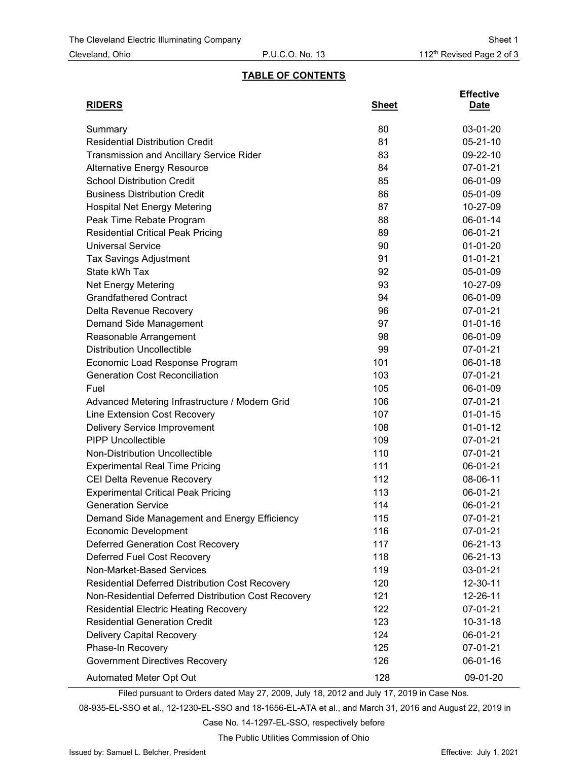**Effective**

### **TABLE OF CONTENTS**

| <b>RIDERS</b>                                       | <b>Sheet</b> | Date           |
|-----------------------------------------------------|--------------|----------------|
| Summary                                             | 80           | 03-01-20       |
| <b>Residential Distribution Credit</b>              | 81           | $05 - 21 - 10$ |
| <b>Transmission and Ancillary Service Rider</b>     | 83           | 09-22-10       |
| <b>Alternative Energy Resource</b>                  | 84           | 07-01-21       |
| <b>School Distribution Credit</b>                   | 85           | 06-01-09       |
| <b>Business Distribution Credit</b>                 | 86           | 05-01-09       |
| <b>Hospital Net Energy Metering</b>                 | 87           | 10-27-09       |
| Peak Time Rebate Program                            | 88           | 06-01-14       |
| <b>Residential Critical Peak Pricing</b>            | 89           | 06-01-21       |
| <b>Universal Service</b>                            | 90           | $01-01-20$     |
| <b>Tax Savings Adjustment</b>                       | 91           | $01-01-21$     |
| State kWh Tax                                       | 92           | 05-01-09       |
| Net Energy Metering                                 | 93           | 10-27-09       |
| <b>Grandfathered Contract</b>                       | 94           | 06-01-09       |
| Delta Revenue Recovery                              | 96           | 07-01-21       |
| Demand Side Management                              | 97           | $01 - 01 - 16$ |
| Reasonable Arrangement                              | 98           | 06-01-09       |
| <b>Distribution Uncollectible</b>                   | 99           | 07-01-21       |
| Economic Load Response Program                      | 101          | 06-01-18       |
| <b>Generation Cost Reconciliation</b>               | 103          | 07-01-21       |
| Fuel                                                | 105          | 06-01-09       |
| Advanced Metering Infrastructure / Modern Grid      | 106          | 07-01-21       |
| Line Extension Cost Recovery                        | 107          | $01 - 01 - 15$ |
| Delivery Service Improvement                        | 108          | $01 - 01 - 12$ |
| <b>PIPP Uncollectible</b>                           | 109          | 07-01-21       |
| Non-Distribution Uncollectible                      | 110          | 07-01-21       |
| <b>Experimental Real Time Pricing</b>               | 111          | 06-01-21       |
| CEI Delta Revenue Recovery                          | 112          | 08-06-11       |
| <b>Experimental Critical Peak Pricing</b>           | 113          | 06-01-21       |
| <b>Generation Service</b>                           | 114          | 06-01-21       |
| Demand Side Management and Energy Efficiency        | 115          | 07-01-21       |
| <b>Economic Development</b>                         | 116          | 07-01-21       |
| <b>Deferred Generation Cost Recovery</b>            | 117          | 06-21-13       |
| Deferred Fuel Cost Recovery                         | 118          | 06-21-13       |
| Non-Market-Based Services                           | 119          | 03-01-21       |
| Residential Deferred Distribution Cost Recovery     | 120          | 12-30-11       |
| Non-Residential Deferred Distribution Cost Recovery | 121          | 12-26-11       |
| <b>Residential Electric Heating Recovery</b>        | 122          | $07 - 01 - 21$ |
| <b>Residential Generation Credit</b>                | 123          | $10 - 31 - 18$ |
| <b>Delivery Capital Recovery</b>                    | 124          | 06-01-21       |
| Phase-In Recovery                                   | 125          | 07-01-21       |
| <b>Government Directives Recovery</b>               | 126          | 06-01-16       |
| Automated Meter Opt Out                             | 128          | 09-01-20       |

Filed pursuant to Orders dated May 27, 2009, July 18, 2012 and July 17, 2019 in Case Nos.

08-935-EL-SSO et al., 12-1230-EL-SSO and 18-1656-EL-ATA et al., and March 31, 2016 and August 22, 2019 in

Case No. 14-1297-EL-SSO, respectively before

The Public Utilities Commission of Ohio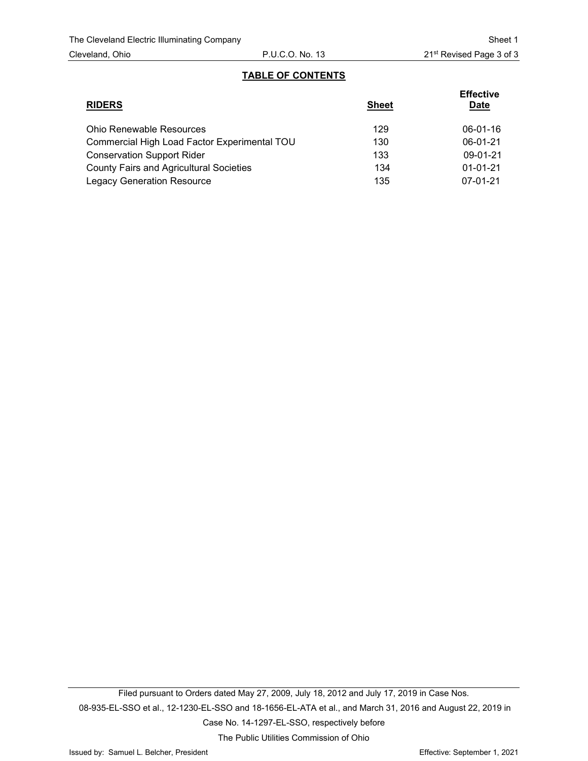### **TABLE OF CONTENTS**

| <b>RIDERS</b>                                  | <b>Sheet</b> | <b>Effective</b><br><b>Date</b> |
|------------------------------------------------|--------------|---------------------------------|
| <b>Ohio Renewable Resources</b>                | 129          | $06 - 01 - 16$                  |
| Commercial High Load Factor Experimental TOU   | 130          | $06-01-21$                      |
| <b>Conservation Support Rider</b>              | 133          | $09-01-21$                      |
| <b>County Fairs and Agricultural Societies</b> | 134          | $01 - 01 - 21$                  |
| <b>Legacy Generation Resource</b>              | 135          | $07-01-21$                      |

The Public Utilities Commission of Ohio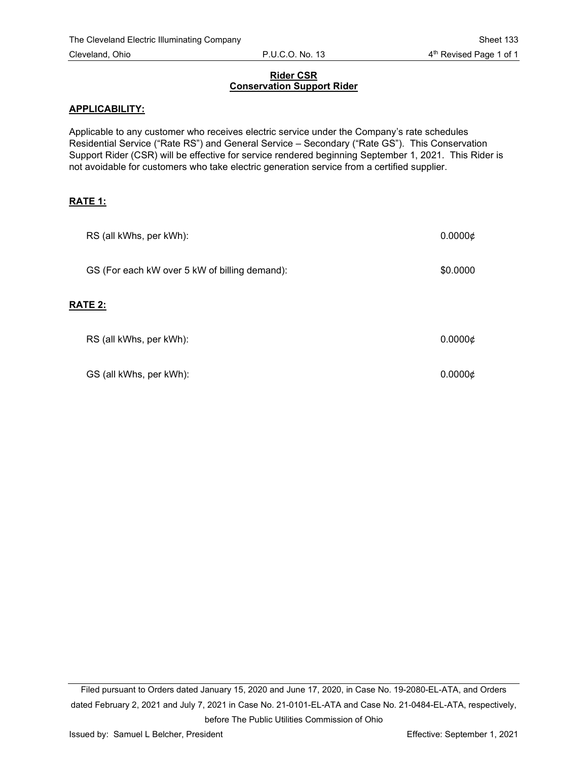# Cleveland, Ohio **P.U.C.O. No. 13** 4<sup>th</sup> Revised Page 1 of 1

### **Rider CSR Conservation Support Rider**

### **APPLICABILITY:**

Applicable to any customer who receives electric service under the Company's rate schedules Residential Service ("Rate RS") and General Service – Secondary ("Rate GS"). This Conservation Support Rider (CSR) will be effective for service rendered beginning September 1, 2021. This Rider is not avoidable for customers who take electric generation service from a certified supplier.

### **RATE 1:**

| RS (all kWhs, per kWh):                       | $0.0000 \notin$ |
|-----------------------------------------------|-----------------|
| GS (For each kW over 5 kW of billing demand): | \$0.0000        |
| <b>RATE 2:</b>                                |                 |
| RS (all kWhs, per kWh):                       | $0.0000 \notin$ |
| GS (all kWhs, per kWh):                       | 0.0000c         |

Filed pursuant to Orders dated January 15, 2020 and June 17, 2020, in Case No. 19-2080-EL-ATA, and Orders dated February 2, 2021 and July 7, 2021 in Case No. 21-0101-EL-ATA and Case No. 21-0484-EL-ATA, respectively, before The Public Utilities Commission of Ohio